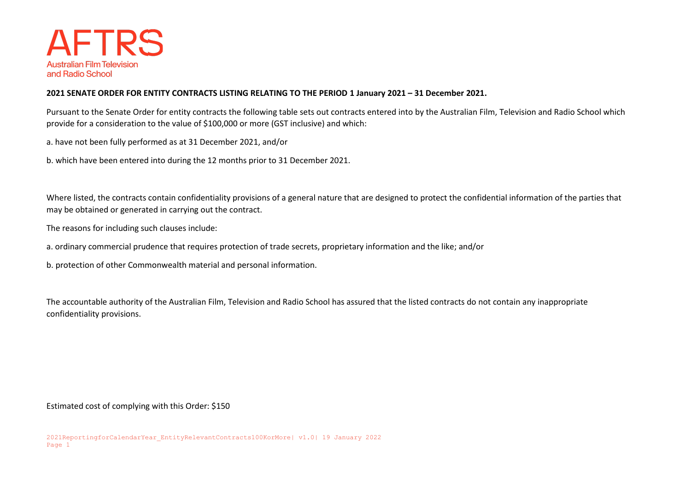

## **2021 SENATE ORDER FOR ENTITY CONTRACTS LISTING RELATING TO THE PERIOD 1 January 2021 – 31 December 2021.**

Pursuant to the Senate Order for entity contracts the following table sets out contracts entered into by the Australian Film, Television and Radio School which provide for a consideration to the value of \$100,000 or more (GST inclusive) and which:

a. have not been fully performed as at 31 December 2021, and/or

b. which have been entered into during the 12 months prior to 31 December 2021.

Where listed, the contracts contain confidentiality provisions of a general nature that are designed to protect the confidential information of the parties that may be obtained or generated in carrying out the contract.

The reasons for including such clauses include:

a. ordinary commercial prudence that requires protection of trade secrets, proprietary information and the like; and/or

b. protection of other Commonwealth material and personal information.

The accountable authority of the Australian Film, Television and Radio School has assured that the listed contracts do not contain any inappropriate confidentiality provisions.

Estimated cost of complying with this Order: \$150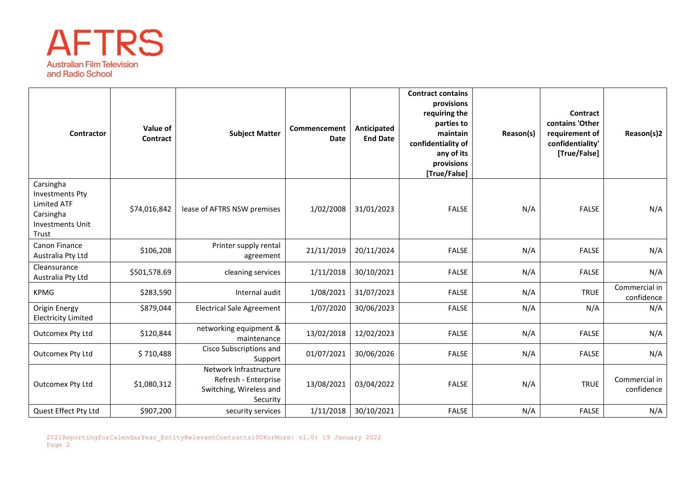

| Contractor                                                                                                 | Value of<br>Contract | <b>Subject Matter</b>                                                                 | Commencement<br><b>Date</b> | Anticipated<br><b>End Date</b> | <b>Contract contains</b><br>provisions<br>requiring the<br>parties to<br>maintain<br>confidentiality of<br>any of its<br>provisions<br>[True/False] | Reason(s) | Contract<br>contains 'Other<br>requirement of<br>confidentiality'<br>[True/False] | Reason(s)2                  |
|------------------------------------------------------------------------------------------------------------|----------------------|---------------------------------------------------------------------------------------|-----------------------------|--------------------------------|-----------------------------------------------------------------------------------------------------------------------------------------------------|-----------|-----------------------------------------------------------------------------------|-----------------------------|
| Carsingha<br><b>Investments Pty</b><br><b>Limited ATF</b><br>Carsingha<br><b>Investments Unit</b><br>Trust | \$74,016,842         | lease of AFTRS NSW premises                                                           | 1/02/2008                   | 31/01/2023                     | <b>FALSE</b>                                                                                                                                        | N/A       | <b>FALSE</b>                                                                      | N/A                         |
| Canon Finance<br>Australia Pty Ltd                                                                         | \$106,208            | Printer supply rental<br>agreement                                                    | 21/11/2019                  | 20/11/2024                     | <b>FALSE</b>                                                                                                                                        | N/A       | <b>FALSE</b>                                                                      | N/A                         |
| Cleansurance<br>Australia Pty Ltd                                                                          | \$501,578.69         | cleaning services                                                                     | 1/11/2018                   | 30/10/2021                     | <b>FALSE</b>                                                                                                                                        | N/A       | <b>FALSE</b>                                                                      | N/A                         |
| <b>KPMG</b>                                                                                                | \$283,590            | Internal audit                                                                        | 1/08/2021                   | 31/07/2023                     | <b>FALSE</b>                                                                                                                                        | N/A       | <b>TRUE</b>                                                                       | Commercial in<br>confidence |
| Origin Energy<br><b>Electricity Limited</b>                                                                | \$879,044            | <b>Electrical Sale Agreement</b>                                                      | 1/07/2020                   | 30/06/2023                     | <b>FALSE</b>                                                                                                                                        | N/A       | N/A                                                                               | N/A                         |
| Outcomex Pty Ltd                                                                                           | \$120,844            | networking equipment &<br>maintenance                                                 | 13/02/2018                  | 12/02/2023                     | <b>FALSE</b>                                                                                                                                        | N/A       | <b>FALSE</b>                                                                      | N/A                         |
| Outcomex Pty Ltd                                                                                           | \$710,488            | Cisco Subscriptions and<br>Support                                                    | 01/07/2021                  | 30/06/2026                     | <b>FALSE</b>                                                                                                                                        | N/A       | <b>FALSE</b>                                                                      | N/A                         |
| Outcomex Pty Ltd                                                                                           | \$1,080,312          | Network Infrastructure<br>Refresh - Enterprise<br>Switching, Wireless and<br>Security | 13/08/2021                  | 03/04/2022                     | <b>FALSE</b>                                                                                                                                        | N/A       | <b>TRUE</b>                                                                       | Commercial in<br>confidence |
| Quest Effect Pty Ltd                                                                                       | \$907,200            | security services                                                                     | 1/11/2018                   | 30/10/2021                     | <b>FALSE</b>                                                                                                                                        | N/A       | <b>FALSE</b>                                                                      | N/A                         |